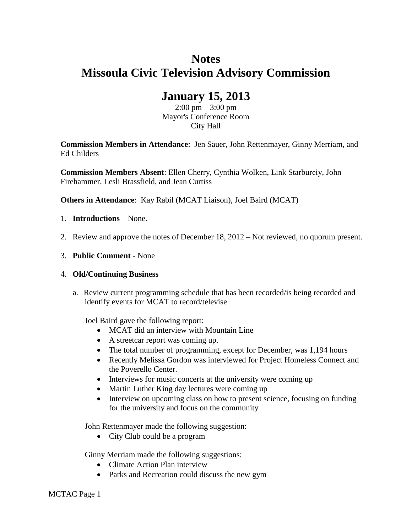# **Notes Missoula Civic Television Advisory Commission**

## **January 15, 2013**

 $2:00 \text{ pm} - 3:00 \text{ pm}$ Mayor's Conference Room City Hall

**Commission Members in Attendance**: Jen Sauer, John Rettenmayer, Ginny Merriam, and Ed Childers

**Commission Members Absent**: Ellen Cherry, Cynthia Wolken, Link Starbureiy, John Firehammer, Lesli Brassfield, and Jean Curtiss

**Others in Attendance**: Kay Rabil (MCAT Liaison), Joel Baird (MCAT)

- 1. **Introductions** None.
- 2. Review and approve the notes of December 18, 2012 Not reviewed, no quorum present.
- 3. **Public Comment** None

#### 4. **Old/Continuing Business**

a. Review current programming schedule that has been recorded/is being recorded and identify events for MCAT to record/televise

Joel Baird gave the following report:

- MCAT did an interview with Mountain Line
- A streetcar report was coming up.
- The total number of programming, except for December, was 1,194 hours
- Recently Melissa Gordon was interviewed for Project Homeless Connect and the Poverello Center.
- Interviews for music concerts at the university were coming up
- Martin Luther King day lectures were coming up
- Interview on upcoming class on how to present science, focusing on funding for the university and focus on the community

John Rettenmayer made the following suggestion:

• City Club could be a program

Ginny Merriam made the following suggestions:

- Climate Action Plan interview
- Parks and Recreation could discuss the new gym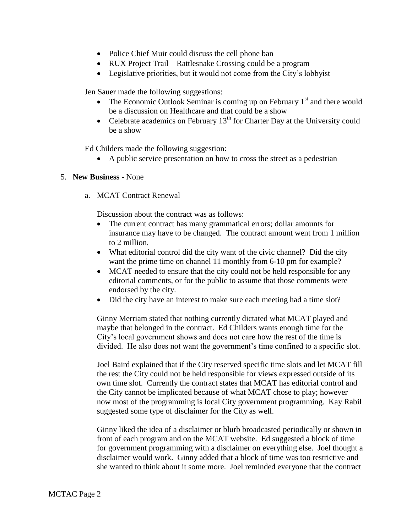- Police Chief Muir could discuss the cell phone ban
- RUX Project Trail Rattlesnake Crossing could be a program
- Legislative priorities, but it would not come from the City's lobbyist

Jen Sauer made the following suggestions:

- The Economic Outlook Seminar is coming up on February  $1<sup>st</sup>$  and there would be a discussion on Healthcare and that could be a show
- Celebrate academics on February  $13<sup>th</sup>$  for Charter Day at the University could be a show

Ed Childers made the following suggestion:

A public service presentation on how to cross the street as a pedestrian

#### 5. **New Business** - None

a. MCAT Contract Renewal

Discussion about the contract was as follows:

- The current contract has many grammatical errors; dollar amounts for insurance may have to be changed. The contract amount went from 1 million to 2 million.
- What editorial control did the city want of the civic channel? Did the city want the prime time on channel 11 monthly from 6-10 pm for example?
- MCAT needed to ensure that the city could not be held responsible for any editorial comments, or for the public to assume that those comments were endorsed by the city.
- Did the city have an interest to make sure each meeting had a time slot?

Ginny Merriam stated that nothing currently dictated what MCAT played and maybe that belonged in the contract. Ed Childers wants enough time for the City's local government shows and does not care how the rest of the time is divided. He also does not want the government's time confined to a specific slot.

Joel Baird explained that if the City reserved specific time slots and let MCAT fill the rest the City could not be held responsible for views expressed outside of its own time slot. Currently the contract states that MCAT has editorial control and the City cannot be implicated because of what MCAT chose to play; however now most of the programming is local City government programming. Kay Rabil suggested some type of disclaimer for the City as well.

Ginny liked the idea of a disclaimer or blurb broadcasted periodically or shown in front of each program and on the MCAT website. Ed suggested a block of time for government programming with a disclaimer on everything else. Joel thought a disclaimer would work. Ginny added that a block of time was too restrictive and she wanted to think about it some more. Joel reminded everyone that the contract